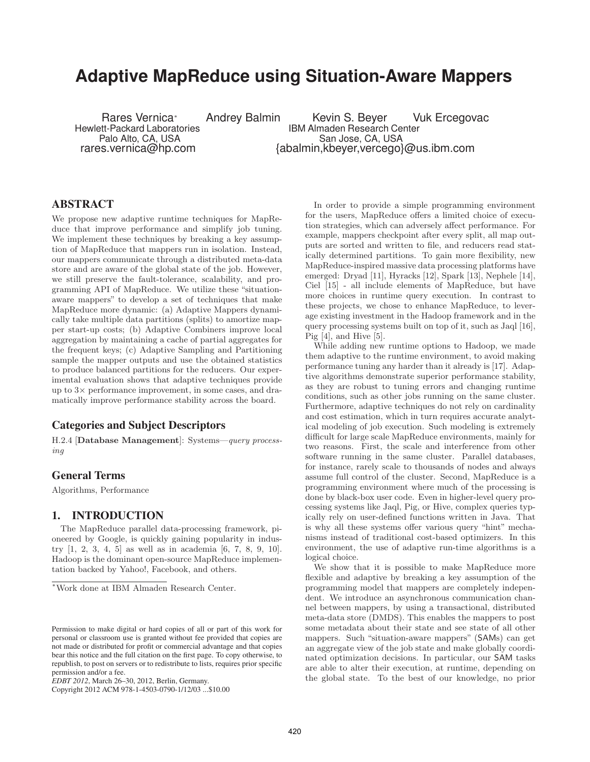# **Adaptive MapReduce using Situation-Aware Mappers**

Palo Alto, CA, USA San Jose, CA, USA

Rares Vernica<sup>∗</sup> Andrey Balmin Kevin S. Beyer Vuk Ercegovac<br>IBM Almaden Research Center IBM Almaden Research Center rares.vernica@hp.com {abalmin,kbeyer,vercego}@us.ibm.com

# **ABSTRACT**

We propose new adaptive runtime techniques for MapReduce that improve performance and simplify job tuning. We implement these techniques by breaking a key assumption of MapReduce that mappers run in isolation. Instead, our mappers communicate through a distributed meta-data store and are aware of the global state of the job. However, we still preserve the fault-tolerance, scalability, and programming API of MapReduce. We utilize these "situationaware mappers" to develop a set of techniques that make MapReduce more dynamic: (a) Adaptive Mappers dynamically take multiple data partitions (splits) to amortize mapper start-up costs; (b) Adaptive Combiners improve local aggregation by maintaining a cache of partial aggregates for the frequent keys; (c) Adaptive Sampling and Partitioning sample the mapper outputs and use the obtained statistics to produce balanced partitions for the reducers. Our experimental evaluation shows that adaptive techniques provide up to 3× performance improvement, in some cases, and dramatically improve performance stability across the board.

# **Categories and Subject Descriptors**

H.2.4 [Database Management]: Systems—query processing

# **General Terms**

Algorithms, Performance

# **1. INTRODUCTION**

The MapReduce parallel data-processing framework, pioneered by Google, is quickly gaining popularity in industry [1, 2, 3, 4, 5] as well as in academia [6, 7, 8, 9, 10]. Hadoop is the dominant open-source MapReduce implementation backed by Yahoo!, Facebook, and others.

Copyright 2012 ACM 978-1-4503-0790-1/12/03 ...\$10.00

In order to provide a simple programming environment for the users, MapReduce offers a limited choice of execution strategies, which can adversely affect performance. For example, mappers checkpoint after every split, all map outputs are sorted and written to file, and reducers read statically determined partitions. To gain more flexibility, new MapReduce-inspired massive data processing platforms have emerged: Dryad [11], Hyracks [12], Spark [13], Nephele [14], Ciel [15] - all include elements of MapReduce, but have more choices in runtime query execution. In contrast to these projects, we chose to enhance MapReduce, to leverage existing investment in the Hadoop framework and in the query processing systems built on top of it, such as Jaql [16], Pig [4], and Hive [5].

While adding new runtime options to Hadoop, we made them adaptive to the runtime environment, to avoid making performance tuning any harder than it already is [17]. Adaptive algorithms demonstrate superior performance stability, as they are robust to tuning errors and changing runtime conditions, such as other jobs running on the same cluster. Furthermore, adaptive techniques do not rely on cardinality and cost estimation, which in turn requires accurate analytical modeling of job execution. Such modeling is extremely difficult for large scale MapReduce environments, mainly for two reasons. First, the scale and interference from other software running in the same cluster. Parallel databases, for instance, rarely scale to thousands of nodes and always assume full control of the cluster. Second, MapReduce is a programming environment where much of the processing is done by black-box user code. Even in higher-level query processing systems like Jaql, Pig, or Hive, complex queries typically rely on user-defined functions written in Java. That is why all these systems offer various query "hint" mechanisms instead of traditional cost-based optimizers. In this environment, the use of adaptive run-time algorithms is a logical choice.

We show that it is possible to make MapReduce more flexible and adaptive by breaking a key assumption of the programming model that mappers are completely independent. We introduce an asynchronous communication channel between mappers, by using a transactional, distributed meta-data store (DMDS). This enables the mappers to post some metadata about their state and see state of all other mappers. Such "situation-aware mappers" (SAMs) can get an aggregate view of the job state and make globally coordinated optimization decisions. In particular, our SAM tasks are able to alter their execution, at runtime, depending on the global state. To the best of our knowledge, no prior

<sup>∗</sup>Work done at IBM Almaden Research Center.

Permission to make digital or hard copies of all or part of this work for personal or classroom use is granted without fee provided that copies are not made or distributed for profit or commercial advantage and that copies bear this notice and the full citation on the first page. To copy otherwise, to republish, to post on servers or to redistribute to lists, requires prior specific permission and/or a fee.

*EDBT 2012*, March 26–30, 2012, Berlin, Germany.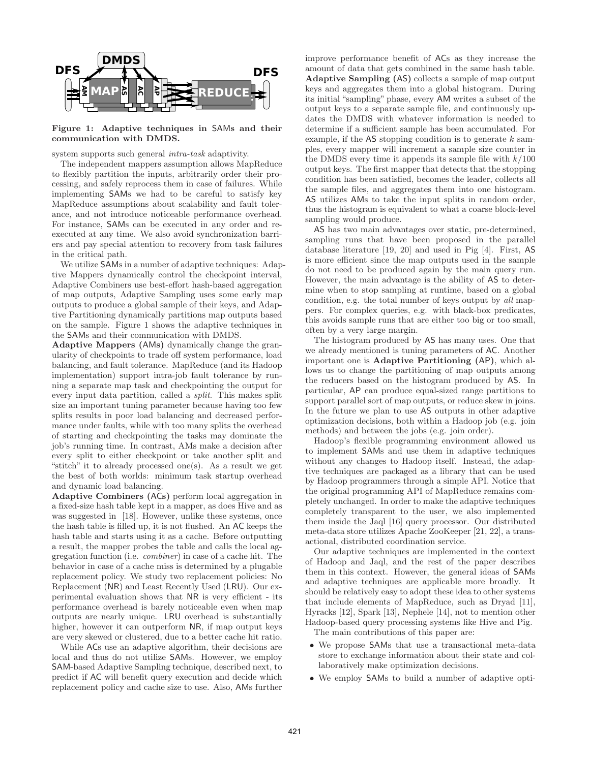

Figure 1: Adaptive techniques in SAMs and their communication with DMDS.

system supports such general intra-task adaptivity.

The independent mappers assumption allows MapReduce to flexibly partition the inputs, arbitrarily order their processing, and safely reprocess them in case of failures. While implementing SAMs we had to be careful to satisfy key MapReduce assumptions about scalability and fault tolerance, and not introduce noticeable performance overhead. For instance, SAMs can be executed in any order and reexecuted at any time. We also avoid synchronization barriers and pay special attention to recovery from task failures in the critical path.

We utilize SAMs in a number of adaptive techniques: Adaptive Mappers dynamically control the checkpoint interval, Adaptive Combiners use best-effort hash-based aggregation of map outputs, Adaptive Sampling uses some early map outputs to produce a global sample of their keys, and Adaptive Partitioning dynamically partitions map outputs based on the sample. Figure 1 shows the adaptive techniques in the SAMs and their communication with DMDS.

Adaptive Mappers (AMs) dynamically change the granularity of checkpoints to trade off system performance, load balancing, and fault tolerance. MapReduce (and its Hadoop implementation) support intra-job fault tolerance by running a separate map task and checkpointing the output for every input data partition, called a split. This makes split size an important tuning parameter because having too few splits results in poor load balancing and decreased performance under faults, while with too many splits the overhead of starting and checkpointing the tasks may dominate the job's running time. In contrast, AMs make a decision after every split to either checkpoint or take another split and "stitch" it to already processed one(s). As a result we get the best of both worlds: minimum task startup overhead and dynamic load balancing.

Adaptive Combiners (ACs) perform local aggregation in a fixed-size hash table kept in a mapper, as does Hive and as was suggested in [18]. However, unlike these systems, once the hash table is filled up, it is not flushed. An AC keeps the hash table and starts using it as a cache. Before outputting a result, the mapper probes the table and calls the local aggregation function (i.e. combiner) in case of a cache hit. The behavior in case of a cache miss is determined by a plugable replacement policy. We study two replacement policies: No Replacement (NR) and Least Recently Used (LRU). Our experimental evaluation shows that NR is very efficient - its performance overhead is barely noticeable even when map outputs are nearly unique. LRU overhead is substantially higher, however it can outperform NR, if map output keys are very skewed or clustered, due to a better cache hit ratio.

While ACs use an adaptive algorithm, their decisions are local and thus do not utilize SAMs. However, we employ SAM-based Adaptive Sampling technique, described next, to predict if AC will benefit query execution and decide which replacement policy and cache size to use. Also, AMs further

improve performance benefit of ACs as they increase the amount of data that gets combined in the same hash table. Adaptive Sampling (AS) collects a sample of map output keys and aggregates them into a global histogram. During its initial "sampling" phase, every AM writes a subset of the output keys to a separate sample file, and continuously updates the DMDS with whatever information is needed to determine if a sufficient sample has been accumulated. For example, if the  $AS$  stopping condition is to generate k samples, every mapper will increment a sample size counter in the DMDS every time it appends its sample file with  $k/100$ output keys. The first mapper that detects that the stopping condition has been satisfied, becomes the leader, collects all the sample files, and aggregates them into one histogram. AS utilizes AMs to take the input splits in random order, thus the histogram is equivalent to what a coarse block-level sampling would produce.

AS has two main advantages over static, pre-determined, sampling runs that have been proposed in the parallel database literature [19, 20] and used in Pig [4]. First, AS is more efficient since the map outputs used in the sample do not need to be produced again by the main query run. However, the main advantage is the ability of AS to determine when to stop sampling at runtime, based on a global condition, e.g. the total number of keys output by all mappers. For complex queries, e.g. with black-box predicates, this avoids sample runs that are either too big or too small, often by a very large margin.

The histogram produced by AS has many uses. One that we already mentioned is tuning parameters of AC. Another important one is Adaptive Partitioning (AP), which allows us to change the partitioning of map outputs among the reducers based on the histogram produced by AS. In particular, AP can produce equal-sized range partitions to support parallel sort of map outputs, or reduce skew in joins. In the future we plan to use AS outputs in other adaptive optimization decisions, both within a Hadoop job (e.g. join methods) and between the jobs (e.g. join order).

Hadoop's flexible programming environment allowed us to implement SAMs and use them in adaptive techniques without any changes to Hadoop itself. Instead, the adaptive techniques are packaged as a library that can be used by Hadoop programmers through a simple API. Notice that the original programming API of MapReduce remains completely unchanged. In order to make the adaptive techniques completely transparent to the user, we also implemented them inside the Jaql [16] query processor. Our distributed meta-data store utilizes Apache ZooKeeper [21, 22], a transactional, distributed coordination service.

Our adaptive techniques are implemented in the context of Hadoop and Jaql, and the rest of the paper describes them in this context. However, the general ideas of SAMs and adaptive techniques are applicable more broadly. It should be relatively easy to adopt these idea to other systems that include elements of MapReduce, such as Dryad [11], Hyracks [12], Spark [13], Nephele [14], not to mention other Hadoop-based query processing systems like Hive and Pig.

The main contributions of this paper are:

- We propose SAMs that use a transactional meta-data store to exchange information about their state and collaboratively make optimization decisions.
- We employ SAMs to build a number of adaptive opti-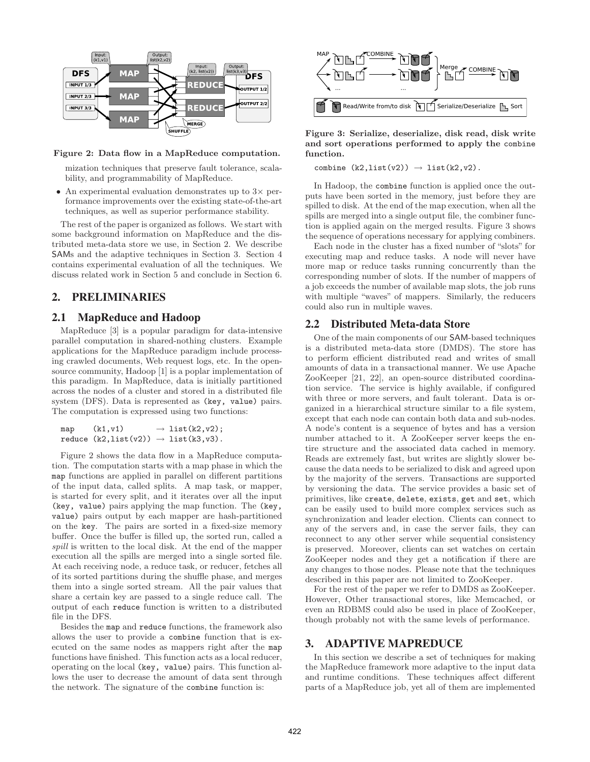

Figure 2: Data flow in a MapReduce computation.

mization techniques that preserve fault tolerance, scalability, and programmability of MapReduce.

• An experimental evaluation demonstrates up to  $3\times$  performance improvements over the existing state-of-the-art techniques, as well as superior performance stability.

The rest of the paper is organized as follows. We start with some background information on MapReduce and the distributed meta-data store we use, in Section 2. We describe SAMs and the adaptive techniques in Section 3. Section 4 contains experimental evaluation of all the techniques. We discuss related work in Section 5 and conclude in Section 6.

# **2. PRELIMINARIES**

# **2.1 MapReduce and Hadoop**

MapReduce [3] is a popular paradigm for data-intensive parallel computation in shared-nothing clusters. Example applications for the MapReduce paradigm include processing crawled documents, Web request logs, etc. In the opensource community, Hadoop [1] is a poplar implementation of this paradigm. In MapReduce, data is initially partitioned across the nodes of a cluster and stored in a distributed file system (DFS). Data is represented as (key, value) pairs. The computation is expressed using two functions:

```
map (k1, v1) \rightarrow list(k2, v2);
reduce (k2, list(v2)) \rightarrow list(k3, v3).
```
Figure 2 shows the data flow in a MapReduce computation. The computation starts with a map phase in which the map functions are applied in parallel on different partitions of the input data, called splits. A map task, or mapper, is started for every split, and it iterates over all the input (key, value) pairs applying the map function. The (key, value) pairs output by each mapper are hash-partitioned on the key. The pairs are sorted in a fixed-size memory buffer. Once the buffer is filled up, the sorted run, called a spill is written to the local disk. At the end of the mapper execution all the spills are merged into a single sorted file. At each receiving node, a reduce task, or reducer, fetches all of its sorted partitions during the shuffle phase, and merges them into a single sorted stream. All the pair values that share a certain key are passed to a single reduce call. The output of each reduce function is written to a distributed file in the DFS.

Besides the map and reduce functions, the framework also allows the user to provide a combine function that is executed on the same nodes as mappers right after the map functions have finished. This function acts as a local reducer, operating on the local (key, value) pairs. This function allows the user to decrease the amount of data sent through the network. The signature of the combine function is:



Figure 3: Serialize, deserialize, disk read, disk write and sort operations performed to apply the combine function.

combine  $(k2, list(v2)) \rightarrow list(k2, v2)$ .

In Hadoop, the combine function is applied once the outputs have been sorted in the memory, just before they are spilled to disk. At the end of the map execution, when all the spills are merged into a single output file, the combiner function is applied again on the merged results. Figure 3 shows the sequence of operations necessary for applying combiners.

Each node in the cluster has a fixed number of "slots" for executing map and reduce tasks. A node will never have more map or reduce tasks running concurrently than the corresponding number of slots. If the number of mappers of a job exceeds the number of available map slots, the job runs with multiple "waves" of mappers. Similarly, the reducers could also run in multiple waves.

#### **2.2 Distributed Meta-data Store**

One of the main components of our SAM-based techniques is a distributed meta-data store (DMDS). The store has to perform efficient distributed read and writes of small amounts of data in a transactional manner. We use Apache ZooKeeper [21, 22], an open-source distributed coordination service. The service is highly available, if configured with three or more servers, and fault tolerant. Data is organized in a hierarchical structure similar to a file system, except that each node can contain both data and sub-nodes. A node's content is a sequence of bytes and has a version number attached to it. A ZooKeeper server keeps the entire structure and the associated data cached in memory. Reads are extremely fast, but writes are slightly slower because the data needs to be serialized to disk and agreed upon by the majority of the servers. Transactions are supported by versioning the data. The service provides a basic set of primitives, like create, delete, exists, get and set, which can be easily used to build more complex services such as synchronization and leader election. Clients can connect to any of the servers and, in case the server fails, they can reconnect to any other server while sequential consistency is preserved. Moreover, clients can set watches on certain ZooKeeper nodes and they get a notification if there are any changes to those nodes. Please note that the techniques described in this paper are not limited to ZooKeeper.

For the rest of the paper we refer to DMDS as ZooKeeper. However, Other transactional stores, like Memcached, or even an RDBMS could also be used in place of ZooKeeper, though probably not with the same levels of performance.

## **3. ADAPTIVE MAPREDUCE**

In this section we describe a set of techniques for making the MapReduce framework more adaptive to the input data and runtime conditions. These techniques affect different parts of a MapReduce job, yet all of them are implemented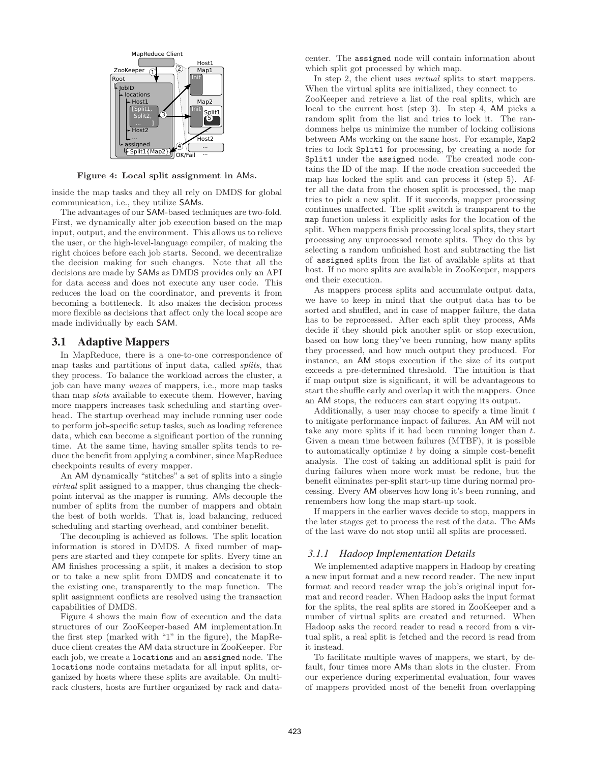

Figure 4: Local split assignment in AMs.

inside the map tasks and they all rely on DMDS for global communication, i.e., they utilize SAMs.

The advantages of our SAM-based techniques are two-fold. First, we dynamically alter job execution based on the map input, output, and the environment. This allows us to relieve the user, or the high-level-language compiler, of making the right choices before each job starts. Second, we decentralize the decision making for such changes. Note that all the decisions are made by SAMs as DMDS provides only an API for data access and does not execute any user code. This reduces the load on the coordinator, and prevents it from becoming a bottleneck. It also makes the decision process more flexible as decisions that affect only the local scope are made individually by each SAM.

#### **3.1 Adaptive Mappers**

In MapReduce, there is a one-to-one correspondence of map tasks and partitions of input data, called splits, that they process. To balance the workload across the cluster, a job can have many waves of mappers, i.e., more map tasks than map slots available to execute them. However, having more mappers increases task scheduling and starting overhead. The startup overhead may include running user code to perform job-specific setup tasks, such as loading reference data, which can become a significant portion of the running time. At the same time, having smaller splits tends to reduce the benefit from applying a combiner, since MapReduce checkpoints results of every mapper.

An AM dynamically "stitches" a set of splits into a single virtual split assigned to a mapper, thus changing the checkpoint interval as the mapper is running. AMs decouple the number of splits from the number of mappers and obtain the best of both worlds. That is, load balancing, reduced scheduling and starting overhead, and combiner benefit.

The decoupling is achieved as follows. The split location information is stored in DMDS. A fixed number of mappers are started and they compete for splits. Every time an AM finishes processing a split, it makes a decision to stop or to take a new split from DMDS and concatenate it to the existing one, transparently to the map function. The split assignment conflicts are resolved using the transaction capabilities of DMDS.

Figure 4 shows the main flow of execution and the data structures of our ZooKeeper-based AM implementation.In the first step (marked with "1" in the figure), the MapReduce client creates the AM data structure in ZooKeeper. For each job, we create a locations and an assigned node. The locations node contains metadata for all input splits, organized by hosts where these splits are available. On multirack clusters, hosts are further organized by rack and datacenter. The assigned node will contain information about which split got processed by which map.

In step 2, the client uses *virtual* splits to start mappers. When the virtual splits are initialized, they connect to

ZooKeeper and retrieve a list of the real splits, which are local to the current host (step 3). In step 4, AM picks a random split from the list and tries to lock it. The randomness helps us minimize the number of locking collisions between AMs working on the same host. For example, Map2 tries to lock Split1 for processing, by creating a node for Split1 under the assigned node. The created node contains the ID of the map. If the node creation succeeded the map has locked the split and can process it (step 5). After all the data from the chosen split is processed, the map tries to pick a new split. If it succeeds, mapper processing continues unaffected. The split switch is transparent to the map function unless it explicitly asks for the location of the split. When mappers finish processing local splits, they start processing any unprocessed remote splits. They do this by selecting a random unfinished host and subtracting the list of assigned splits from the list of available splits at that host. If no more splits are available in ZooKeeper, mappers end their execution.

As mappers process splits and accumulate output data, we have to keep in mind that the output data has to be sorted and shuffled, and in case of mapper failure, the data has to be reprocessed. After each split they process, AMs decide if they should pick another split or stop execution, based on how long they've been running, how many splits they processed, and how much output they produced. For instance, an AM stops execution if the size of its output exceeds a pre-determined threshold. The intuition is that if map output size is significant, it will be advantageous to start the shuffle early and overlap it with the mappers. Once an AM stops, the reducers can start copying its output.

Additionally, a user may choose to specify a time limit  $t$ to mitigate performance impact of failures. An AM will not take any more splits if it had been running longer than t. Given a mean time between failures (MTBF), it is possible to automatically optimize t by doing a simple cost-benefit analysis. The cost of taking an additional split is paid for during failures when more work must be redone, but the benefit eliminates per-split start-up time during normal processing. Every AM observes how long it's been running, and remembers how long the map start-up took.

If mappers in the earlier waves decide to stop, mappers in the later stages get to process the rest of the data. The AMs of the last wave do not stop until all splits are processed.

#### *3.1.1 Hadoop Implementation Details*

We implemented adaptive mappers in Hadoop by creating a new input format and a new record reader. The new input format and record reader wrap the job's original input format and record reader. When Hadoop asks the input format for the splits, the real splits are stored in ZooKeeper and a number of virtual splits are created and returned. When Hadoop asks the record reader to read a record from a virtual split, a real split is fetched and the record is read from it instead.

To facilitate multiple waves of mappers, we start, by default, four times more AMs than slots in the cluster. From our experience during experimental evaluation, four waves of mappers provided most of the benefit from overlapping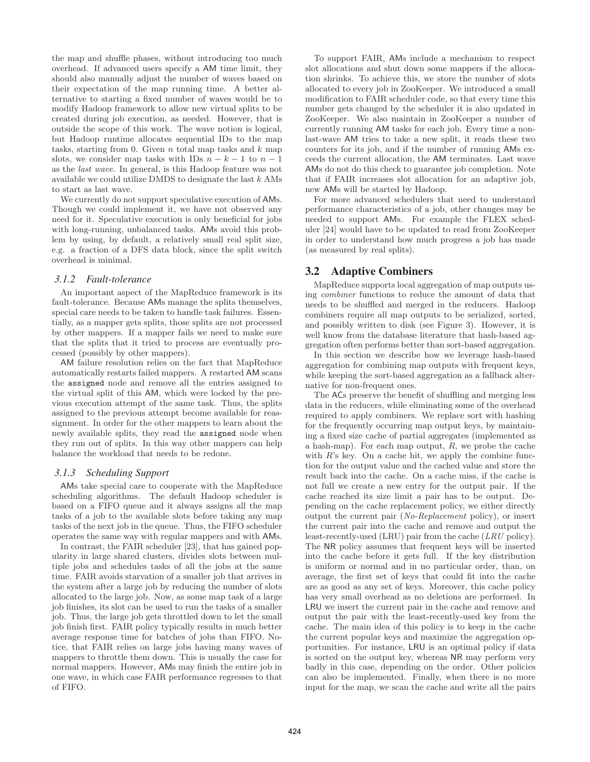the map and shuffle phases, without introducing too much overhead. If advanced users specify a AM time limit, they should also manually adjust the number of waves based on their expectation of the map running time. A better alternative to starting a fixed number of waves would be to modify Hadoop framework to allow new virtual splits to be created during job execution, as needed. However, that is outside the scope of this work. The wave notion is logical, but Hadoop runtime allocates sequential IDs to the map tasks, starting from 0. Given  $n$  total map tasks and  $k$  map slots, we consider map tasks with IDs  $n - k - 1$  to  $n - 1$ as the last wave. In general, is this Hadoop feature was not available we could utilize DMDS to designate the last k AMs to start as last wave.

We currently do not support speculative execution of AMs. Though we could implement it, we have not observed any need for it. Speculative execution is only beneficial for jobs with long-running, unbalanced tasks. AMs avoid this problem by using, by default, a relatively small real split size, e.g. a fraction of a DFS data block, since the split switch overhead is minimal.

#### *3.1.2 Fault-tolerance*

An important aspect of the MapReduce framework is its fault-tolerance. Because AMs manage the splits themselves, special care needs to be taken to handle task failures. Essentially, as a mapper gets splits, those splits are not processed by other mappers. If a mapper fails we need to make sure that the splits that it tried to process are eventually processed (possibly by other mappers).

AM failure resolution relies on the fact that MapReduce automatically restarts failed mappers. A restarted AM scans the assigned node and remove all the entries assigned to the virtual split of this AM, which were locked by the previous execution attempt of the same task. Thus, the splits assigned to the previous attempt become available for reassignment. In order for the other mappers to learn about the newly available splits, they read the assigned node when they run out of splits. In this way other mappers can help balance the workload that needs to be redone.

#### *3.1.3 Scheduling Support*

AMs take special care to cooperate with the MapReduce scheduling algorithms. The default Hadoop scheduler is based on a FIFO queue and it always assigns all the map tasks of a job to the available slots before taking any map tasks of the next job in the queue. Thus, the FIFO scheduler operates the same way with regular mappers and with AMs.

In contrast, the FAIR scheduler [23], that has gained popularity in large shared clusters, divides slots between multiple jobs and schedules tasks of all the jobs at the same time. FAIR avoids starvation of a smaller job that arrives in the system after a large job by reducing the number of slots allocated to the large job. Now, as some map task of a large job finishes, its slot can be used to run the tasks of a smaller job. Thus, the large job gets throttled down to let the small job finish first. FAIR policy typically results in much better average response time for batches of jobs than FIFO. Notice, that FAIR relies on large jobs having many waves of mappers to throttle them down. This is usually the case for normal mappers. However, AMs may finish the entire job in one wave, in which case FAIR performance regresses to that of FIFO.

To support FAIR, AMs include a mechanism to respect slot allocations and shut down some mappers if the allocation shrinks. To achieve this, we store the number of slots allocated to every job in ZooKeeper. We introduced a small modification to FAIR scheduler code, so that every time this number gets changed by the scheduler it is also updated in ZooKeeper. We also maintain in ZooKeeper a number of currently running AM tasks for each job. Every time a nonlast-wave AM tries to take a new split, it reads these two counters for its job, and if the number of running AMs exceeds the current allocation, the AM terminates. Last wave AMs do not do this check to guarantee job completion. Note that if FAIR increases slot allocation for an adaptive job, new AMs will be started by Hadoop.

For more advanced schedulers that need to understand performance characteristics of a job, other changes may be needed to support AMs. For example the FLEX scheduler [24] would have to be updated to read from ZooKeeper in order to understand how much progress a job has made (as measured by real splits).

## **3.2 Adaptive Combiners**

MapReduce supports local aggregation of map outputs using combiner functions to reduce the amount of data that needs to be shuffled and merged in the reducers. Hadoop combiners require all map outputs to be serialized, sorted, and possibly written to disk (see Figure 3). However, it is well know from the database literature that hash-based aggregation often performs better than sort-based aggregation.

In this section we describe how we leverage hash-based aggregation for combining map outputs with frequent keys, while keeping the sort-based aggregation as a fallback alternative for non-frequent ones.

The ACs preserve the benefit of shuffling and merging less data in the reducers, while eliminating some of the overhead required to apply combiners. We replace sort with hashing for the frequently occurring map output keys, by maintaining a fixed size cache of partial aggregates (implemented as a hash-map). For each map output,  $R$ , we probe the cache with  $R$ 's key. On a cache hit, we apply the combine function for the output value and the cached value and store the result back into the cache. On a cache miss, if the cache is not full we create a new entry for the output pair. If the cache reached its size limit a pair has to be output. Depending on the cache replacement policy, we either directly output the current pair (No-Replacement policy), or insert the current pair into the cache and remove and output the least-recently-used (LRU) pair from the cache (LRU policy). The NR policy assumes that frequent keys will be inserted into the cache before it gets full. If the key distribution is uniform or normal and in no particular order, than, on average, the first set of keys that could fit into the cache are as good as any set of keys. Moreover, this cache policy has very small overhead as no deletions are performed. In LRU we insert the current pair in the cache and remove and output the pair with the least-recently-used key from the cache. The main idea of this policy is to keep in the cache the current popular keys and maximize the aggregation opportunities. For instance, LRU is an optimal policy if data is sorted on the output key, whereas NR may perform very badly in this case, depending on the order. Other policies can also be implemented. Finally, when there is no more input for the map, we scan the cache and write all the pairs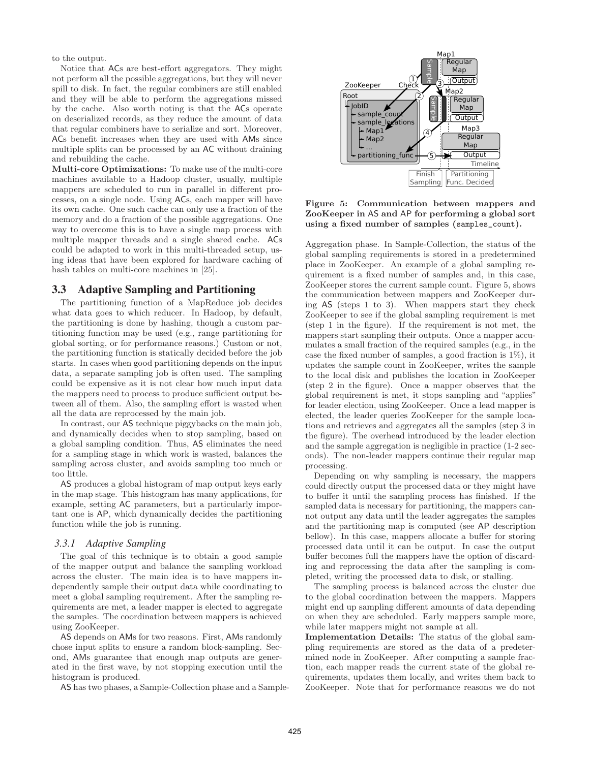to the output.

Notice that ACs are best-effort aggregators. They might not perform all the possible aggregations, but they will never spill to disk. In fact, the regular combiners are still enabled and they will be able to perform the aggregations missed by the cache. Also worth noting is that the ACs operate on deserialized records, as they reduce the amount of data that regular combiners have to serialize and sort. Moreover, ACs benefit increases when they are used with AMs since multiple splits can be processed by an AC without draining and rebuilding the cache.

Multi-core Optimizations: To make use of the multi-core machines available to a Hadoop cluster, usually, multiple mappers are scheduled to run in parallel in different processes, on a single node. Using ACs, each mapper will have its own cache. One such cache can only use a fraction of the memory and do a fraction of the possible aggregations. One way to overcome this is to have a single map process with multiple mapper threads and a single shared cache. ACs could be adapted to work in this multi-threaded setup, using ideas that have been explored for hardware caching of hash tables on multi-core machines in [25].

#### **3.3 Adaptive Sampling and Partitioning**

The partitioning function of a MapReduce job decides what data goes to which reducer. In Hadoop, by default, the partitioning is done by hashing, though a custom partitioning function may be used (e.g., range partitioning for global sorting, or for performance reasons.) Custom or not, the partitioning function is statically decided before the job starts. In cases when good partitioning depends on the input data, a separate sampling job is often used. The sampling could be expensive as it is not clear how much input data the mappers need to process to produce sufficient output between all of them. Also, the sampling effort is wasted when all the data are reprocessed by the main job.

In contrast, our AS technique piggybacks on the main job, and dynamically decides when to stop sampling, based on a global sampling condition. Thus, AS eliminates the need for a sampling stage in which work is wasted, balances the sampling across cluster, and avoids sampling too much or too little.

AS produces a global histogram of map output keys early in the map stage. This histogram has many applications, for example, setting AC parameters, but a particularly important one is AP, which dynamically decides the partitioning function while the job is running.

#### *3.3.1 Adaptive Sampling*

The goal of this technique is to obtain a good sample of the mapper output and balance the sampling workload across the cluster. The main idea is to have mappers independently sample their output data while coordinating to meet a global sampling requirement. After the sampling requirements are met, a leader mapper is elected to aggregate the samples. The coordination between mappers is achieved using ZooKeeper.

AS depends on AMs for two reasons. First, AMs randomly chose input splits to ensure a random block-sampling. Second, AMs guarantee that enough map outputs are generated in the first wave, by not stopping execution until the histogram is produced.

AS has two phases, a Sample-Collection phase and a Sample-



Figure 5: Communication between mappers and ZooKeeper in AS and AP for performing a global sort using a fixed number of samples (samples\_count).

Aggregation phase. In Sample-Collection, the status of the global sampling requirements is stored in a predetermined place in ZooKeeper. An example of a global sampling requirement is a fixed number of samples and, in this case, ZooKeeper stores the current sample count. Figure 5, shows the communication between mappers and ZooKeeper during AS (steps 1 to 3). When mappers start they check ZooKeeper to see if the global sampling requirement is met (step 1 in the figure). If the requirement is not met, the mappers start sampling their outputs. Once a mapper accumulates a small fraction of the required samples (e.g., in the case the fixed number of samples, a good fraction is 1%), it updates the sample count in ZooKeeper, writes the sample to the local disk and publishes the location in ZooKeeper (step 2 in the figure). Once a mapper observes that the global requirement is met, it stops sampling and "applies" for leader election, using ZooKeeper. Once a lead mapper is elected, the leader queries ZooKeeper for the sample locations and retrieves and aggregates all the samples (step 3 in the figure). The overhead introduced by the leader election and the sample aggregation is negligible in practice (1-2 seconds). The non-leader mappers continue their regular map processing.

Depending on why sampling is necessary, the mappers could directly output the processed data or they might have to buffer it until the sampling process has finished. If the sampled data is necessary for partitioning, the mappers cannot output any data until the leader aggregates the samples and the partitioning map is computed (see AP description bellow). In this case, mappers allocate a buffer for storing processed data until it can be output. In case the output buffer becomes full the mappers have the option of discarding and reprocessing the data after the sampling is completed, writing the processed data to disk, or stalling.

The sampling process is balanced across the cluster due to the global coordination between the mappers. Mappers might end up sampling different amounts of data depending on when they are scheduled. Early mappers sample more, while later mappers might not sample at all.

Implementation Details: The status of the global sampling requirements are stored as the data of a predetermined node in ZooKeeper. After computing a sample fraction, each mapper reads the current state of the global requirements, updates them locally, and writes them back to ZooKeeper. Note that for performance reasons we do not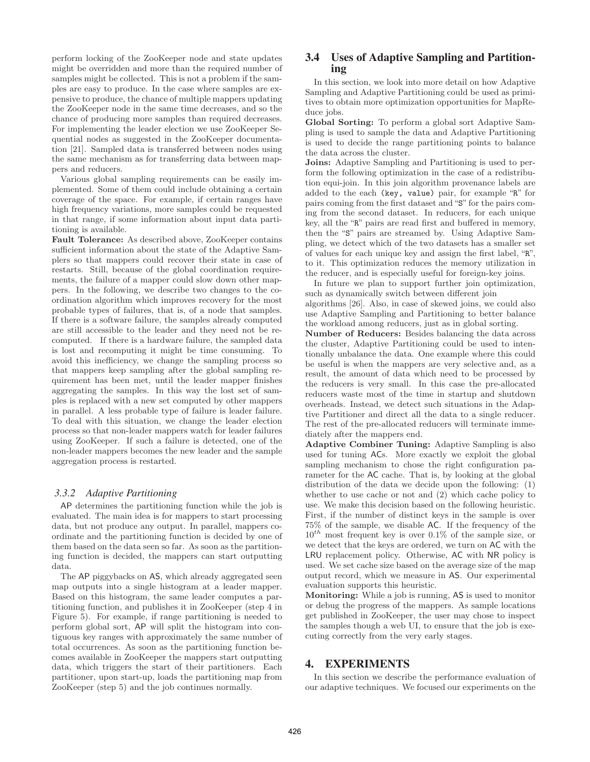perform locking of the ZooKeeper node and state updates might be overridden and more than the required number of samples might be collected. This is not a problem if the samples are easy to produce. In the case where samples are expensive to produce, the chance of multiple mappers updating the ZooKeeper node in the same time decreases, and so the chance of producing more samples than required decreases. For implementing the leader election we use ZooKeeper Sequential nodes as suggested in the ZooKeeper documentation [21]. Sampled data is transferred between nodes using the same mechanism as for transferring data between mappers and reducers.

Various global sampling requirements can be easily implemented. Some of them could include obtaining a certain coverage of the space. For example, if certain ranges have high frequency variations, more samples could be requested in that range, if some information about input data partitioning is available.

Fault Tolerance: As described above, ZooKeeper contains sufficient information about the state of the Adaptive Samplers so that mappers could recover their state in case of restarts. Still, because of the global coordination requirements, the failure of a mapper could slow down other mappers. In the following, we describe two changes to the coordination algorithm which improves recovery for the most probable types of failures, that is, of a node that samples. If there is a software failure, the samples already computed are still accessible to the leader and they need not be recomputed. If there is a hardware failure, the sampled data is lost and recomputing it might be time consuming. To avoid this inefficiency, we change the sampling process so that mappers keep sampling after the global sampling requirement has been met, until the leader mapper finishes aggregating the samples. In this way the lost set of samples is replaced with a new set computed by other mappers in parallel. A less probable type of failure is leader failure. To deal with this situation, we change the leader election process so that non-leader mappers watch for leader failures using ZooKeeper. If such a failure is detected, one of the non-leader mappers becomes the new leader and the sample aggregation process is restarted.

#### *3.3.2 Adaptive Partitioning*

AP determines the partitioning function while the job is evaluated. The main idea is for mappers to start processing data, but not produce any output. In parallel, mappers coordinate and the partitioning function is decided by one of them based on the data seen so far. As soon as the partitioning function is decided, the mappers can start outputting data.

The AP piggybacks on AS, which already aggregated seen map outputs into a single histogram at a leader mapper. Based on this histogram, the same leader computes a partitioning function, and publishes it in ZooKeeper (step 4 in Figure 5). For example, if range partitioning is needed to perform global sort, AP will split the histogram into contiguous key ranges with approximately the same number of total occurrences. As soon as the partitioning function becomes available in ZooKeeper the mappers start outputting data, which triggers the start of their partitioners. Each partitioner, upon start-up, loads the partitioning map from ZooKeeper (step 5) and the job continues normally.

# **3.4 Uses of Adaptive Sampling and Partitioning**

In this section, we look into more detail on how Adaptive Sampling and Adaptive Partitioning could be used as primitives to obtain more optimization opportunities for MapReduce jobs.

Global Sorting: To perform a global sort Adaptive Sampling is used to sample the data and Adaptive Partitioning is used to decide the range partitioning points to balance the data across the cluster.

Joins: Adaptive Sampling and Partitioning is used to perform the following optimization in the case of a redistribution equi-join. In this join algorithm provenance labels are added to the each (key, value) pair, for example "R" for pairs coming from the first dataset and "S" for the pairs coming from the second dataset. In reducers, for each unique key, all the "R" pairs are read first and buffered in memory, then the "S" pairs are streamed by. Using Adaptive Sampling, we detect which of the two datasets has a smaller set of values for each unique key and assign the first label, "R", to it. This optimization reduces the memory utilization in the reducer, and is especially useful for foreign-key joins.

In future we plan to support further join optimization, such as dynamically switch between different join algorithms [26]. Also, in case of skewed joins, we could also use Adaptive Sampling and Partitioning to better balance the workload among reducers, just as in global sorting.

Number of Reducers: Besides balancing the data across the cluster, Adaptive Partitioning could be used to intentionally unbalance the data. One example where this could be useful is when the mappers are very selective and, as a result, the amount of data which need to be processed by the reducers is very small. In this case the pre-allocated reducers waste most of the time in startup and shutdown overheads. Instead, we detect such situations in the Adaptive Partitioner and direct all the data to a single reducer. The rest of the pre-allocated reducers will terminate immediately after the mappers end.

Adaptive Combiner Tuning: Adaptive Sampling is also used for tuning ACs. More exactly we exploit the global sampling mechanism to chose the right configuration parameter for the AC cache. That is, by looking at the global distribution of the data we decide upon the following: (1) whether to use cache or not and (2) which cache policy to use. We make this decision based on the following heuristic. First, if the number of distinct keys in the sample is over 75% of the sample, we disable AC. If the frequency of the  $10^{th}$  most frequent key is over 0.1% of the sample size, or we detect that the keys are ordered, we turn on AC with the LRU replacement policy. Otherwise, AC with NR policy is used. We set cache size based on the average size of the map output record, which we measure in AS. Our experimental evaluation supports this heuristic.

Monitoring: While a job is running, AS is used to monitor or debug the progress of the mappers. As sample locations get published in ZooKeeper, the user may chose to inspect the samples though a web UI, to ensure that the job is executing correctly from the very early stages.

#### **4. EXPERIMENTS**

In this section we describe the performance evaluation of our adaptive techniques. We focused our experiments on the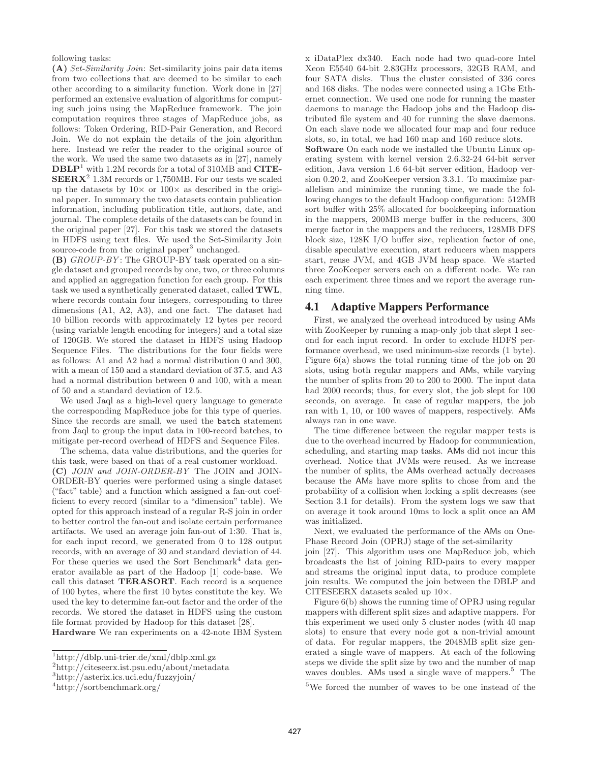following tasks:

(A) Set-Similarity Join: Set-similarity joins pair data items from two collections that are deemed to be similar to each other according to a similarity function. Work done in [27] performed an extensive evaluation of algorithms for computing such joins using the MapReduce framework. The join computation requires three stages of MapReduce jobs, as follows: Token Ordering, RID-Pair Generation, and Record Join. We do not explain the details of the join algorithm here. Instead we refer the reader to the original source of the work. We used the same two datasets as in [27], namely DBLP<sup>1</sup> with 1.2M records for a total of 310MB and CITE- $\textbf{SEERX}^2$  1.3M records or 1,750MB. For our tests we scaled up the datasets by  $10\times$  or  $100\times$  as described in the original paper. In summary the two datasets contain publication information, including publication title, authors, date, and journal. The complete details of the datasets can be found in the original paper [27]. For this task we stored the datasets in HDFS using text files. We used the Set-Similarity Join source-code from the original paper<sup>3</sup> unchanged.

(B) GROUP-BY : The GROUP-BY task operated on a single dataset and grouped records by one, two, or three columns and applied an aggregation function for each group. For this task we used a synthetically generated dataset, called TWL, where records contain four integers, corresponding to three dimensions (A1, A2, A3), and one fact. The dataset had 10 billion records with approximately 12 bytes per record (using variable length encoding for integers) and a total size of 120GB. We stored the dataset in HDFS using Hadoop Sequence Files. The distributions for the four fields were as follows: A1 and A2 had a normal distribution 0 and 300, with a mean of 150 and a standard deviation of 37.5, and A3 had a normal distribution between 0 and 100, with a mean of 50 and a standard deviation of 12.5.

We used Jaql as a high-level query language to generate the corresponding MapReduce jobs for this type of queries. Since the records are small, we used the batch statement from Jaql to group the input data in 100-record batches, to mitigate per-record overhead of HDFS and Sequence Files.

The schema, data value distributions, and the queries for this task, were based on that of a real customer workload. (C) JOIN and JOIN-ORDER-BY The JOIN and JOIN-ORDER-BY queries were performed using a single dataset ("fact" table) and a function which assigned a fan-out coefficient to every record (similar to a "dimension" table). We opted for this approach instead of a regular R-S join in order to better control the fan-out and isolate certain performance artifacts. We used an average join fan-out of 1:30. That is, for each input record, we generated from 0 to 128 output records, with an average of 30 and standard deviation of 44. For these queries we used the Sort Benchmark<sup>4</sup> data generator available as part of the Hadoop [1] code-base. We call this dataset TERASORT. Each record is a sequence of 100 bytes, where the first 10 bytes constitute the key. We used the key to determine fan-out factor and the order of the records. We stored the dataset in HDFS using the custom file format provided by Hadoop for this dataset [28].

Hardware We ran experiments on a 42-note IBM System

x iDataPlex dx340. Each node had two quad-core Intel Xeon E5540 64-bit 2.83GHz processors, 32GB RAM, and four SATA disks. Thus the cluster consisted of 336 cores and 168 disks. The nodes were connected using a 1Gbs Ethernet connection. We used one node for running the master daemons to manage the Hadoop jobs and the Hadoop distributed file system and 40 for running the slave daemons. On each slave node we allocated four map and four reduce slots, so, in total, we had 160 map and 160 reduce slots.

Software On each node we installed the Ubuntu Linux operating system with kernel version 2.6.32-24 64-bit server edition, Java version 1.6 64-bit server edition, Hadoop version 0.20.2, and ZooKeeper version 3.3.1. To maximize parallelism and minimize the running time, we made the following changes to the default Hadoop configuration: 512MB sort buffer with 25% allocated for bookkeeping information in the mappers, 200MB merge buffer in the reducers, 300 merge factor in the mappers and the reducers, 128MB DFS block size, 128K I/O buffer size, replication factor of one, disable speculative execution, start reducers when mappers start, reuse JVM, and 4GB JVM heap space. We started three ZooKeeper servers each on a different node. We ran each experiment three times and we report the average running time.

# **4.1 Adaptive Mappers Performance**

First, we analyzed the overhead introduced by using AMs with ZooKeeper by running a map-only job that slept 1 second for each input record. In order to exclude HDFS performance overhead, we used minimum-size records (1 byte). Figure 6(a) shows the total running time of the job on 20 slots, using both regular mappers and AMs, while varying the number of splits from 20 to 200 to 2000. The input data had 2000 records; thus, for every slot, the job slept for 100 seconds, on average. In case of regular mappers, the job ran with 1, 10, or 100 waves of mappers, respectively. AMs always ran in one wave.

The time difference between the regular mapper tests is due to the overhead incurred by Hadoop for communication, scheduling, and starting map tasks. AMs did not incur this overhead. Notice that JVMs were reused. As we increase the number of splits, the AMs overhead actually decreases because the AMs have more splits to chose from and the probability of a collision when locking a split decreases (see Section 3.1 for details). From the system logs we saw that on average it took around 10ms to lock a split once an AM was initialized.

Next, we evaluated the performance of the AMs on One-Phase Record Join (OPRJ) stage of the set-similarity

join [27]. This algorithm uses one MapReduce job, which broadcasts the list of joining RID-pairs to every mapper and streams the original input data, to produce complete join results. We computed the join between the DBLP and CITESEERX datasets scaled up 10×.

Figure 6(b) shows the running time of OPRJ using regular mappers with different split sizes and adaptive mappers. For this experiment we used only 5 cluster nodes (with 40 map slots) to ensure that every node got a non-trivial amount of data. For regular mappers, the 2048MB split size generated a single wave of mappers. At each of the following steps we divide the split size by two and the number of map waves doubles. AMs used a single wave of mappers.<sup>5</sup> The

<sup>1</sup>http://dblp.uni-trier.de/xml/dblp.xml.gz

<sup>2</sup>http://citeseerx.ist.psu.edu/about/metadata

<sup>3</sup>http://asterix.ics.uci.edu/fuzzyjoin/

<sup>4</sup>http://sortbenchmark.org/

<sup>5</sup>We forced the number of waves to be one instead of the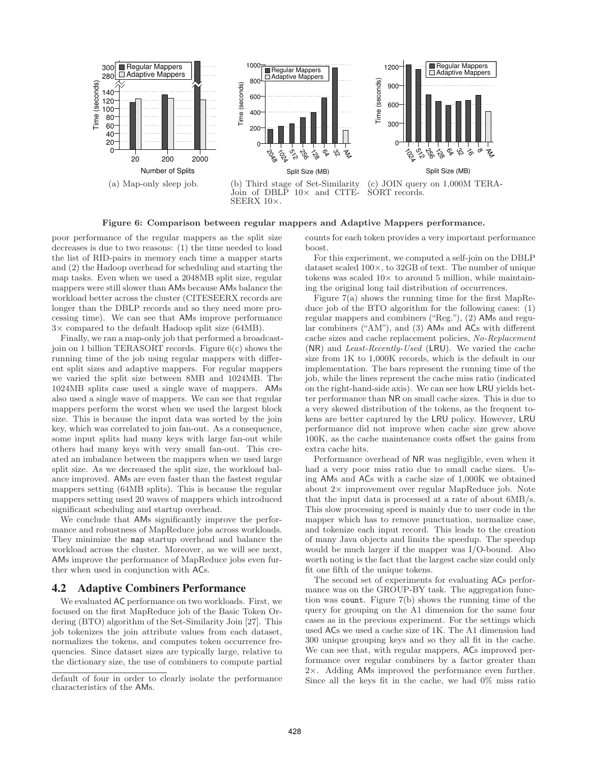

Figure 6: Comparison between regular mappers and Adaptive Mappers performance.

poor performance of the regular mappers as the split size decreases is due to two reasons: (1) the time needed to load the list of RID-pairs in memory each time a mapper starts and (2) the Hadoop overhead for scheduling and starting the map tasks. Even when we used a 2048MB split size, regular mappers were still slower than AMs because AMs balance the workload better across the cluster (CITESEERX records are longer than the DBLP records and so they need more processing time). We can see that AMs improve performance 3× compared to the default Hadoop split size (64MB).

Finally, we ran a map-only job that performed a broadcastjoin on 1 billion TERASORT records. Figure 6(c) shows the running time of the job using regular mappers with different split sizes and adaptive mappers. For regular mappers we varied the split size between 8MB and 1024MB. The 1024MB splits case used a single wave of mappers. AMs also used a single wave of mappers. We can see that regular mappers perform the worst when we used the largest block size. This is because the input data was sorted by the join key, which was correlated to join fan-out. As a consequence, some input splits had many keys with large fan-out while others had many keys with very small fan-out. This created an imbalance between the mappers when we used large split size. As we decreased the split size, the workload balance improved. AMs are even faster than the fastest regular mappers setting (64MB splits). This is because the regular mappers setting used 20 waves of mappers which introduced significant scheduling and startup overhead.

We conclude that AMs significantly improve the performance and robustness of MapReduce jobs across workloads. They minimize the map startup overhead and balance the workload across the cluster. Moreover, as we will see next, AMs improve the performance of MapReduce jobs even further when used in conjunction with ACs.

#### **4.2 Adaptive Combiners Performance**

We evaluated AC performance on two workloads. First, we focused on the first MapReduce job of the Basic Token Ordering (BTO) algorithm of the Set-Similarity Join [27]. This job tokenizes the join attribute values from each dataset, normalizes the tokens, and computes token occurrence frequencies. Since dataset sizes are typically large, relative to the dictionary size, the use of combiners to compute partial

counts for each token provides a very important performance boost.

For this experiment, we computed a self-join on the DBLP dataset scaled 100×, to 32GB of text. The number of unique tokens was scaled  $10\times$  to around 5 million, while maintaining the original long tail distribution of occurrences.

Figure 7(a) shows the running time for the first MapReduce job of the BTO algorithm for the following cases: (1) regular mappers and combiners ("Reg."), (2) AMs and regular combiners ("AM"), and (3) AMs and ACs with different cache sizes and cache replacement policies, No-Replacement (NR) and Least-Recently-Used (LRU). We varied the cache size from 1K to 1,000K records, which is the default in our implementation. The bars represent the running time of the job, while the lines represent the cache miss ratio (indicated on the right-hand-side axis). We can see how LRU yields better performance than NR on small cache sizes. This is due to a very skewed distribution of the tokens, as the frequent tokens are better captured by the LRU policy. However, LRU performance did not improve when cache size grew above 100K, as the cache maintenance costs offset the gains from extra cache hits.

Performance overhead of NR was negligible, even when it had a very poor miss ratio due to small cache sizes. Using AMs and ACs with a cache size of 1,000K we obtained about 2× improvement over regular MapReduce job. Note that the input data is processed at a rate of about 6MB/s. This slow processing speed is mainly due to user code in the mapper which has to remove punctuation, normalize case, and tokenize each input record. This leads to the creation of many Java objects and limits the speedup. The speedup would be much larger if the mapper was I/O-bound. Also worth noting is the fact that the largest cache size could only fit one fifth of the unique tokens.

The second set of experiments for evaluating ACs performance was on the GROUP-BY task. The aggregation function was count. Figure 7(b) shows the running time of the query for grouping on the A1 dimension for the same four cases as in the previous experiment. For the settings which used ACs we used a cache size of 1K. The A1 dimension had 300 unique grouping keys and so they all fit in the cache. We can see that, with regular mappers, ACs improved performance over regular combiners by a factor greater than 2×. Adding AMs improved the performance even further. Since all the keys fit in the cache, we had 0% miss ratio

default of four in order to clearly isolate the performance characteristics of the AMs.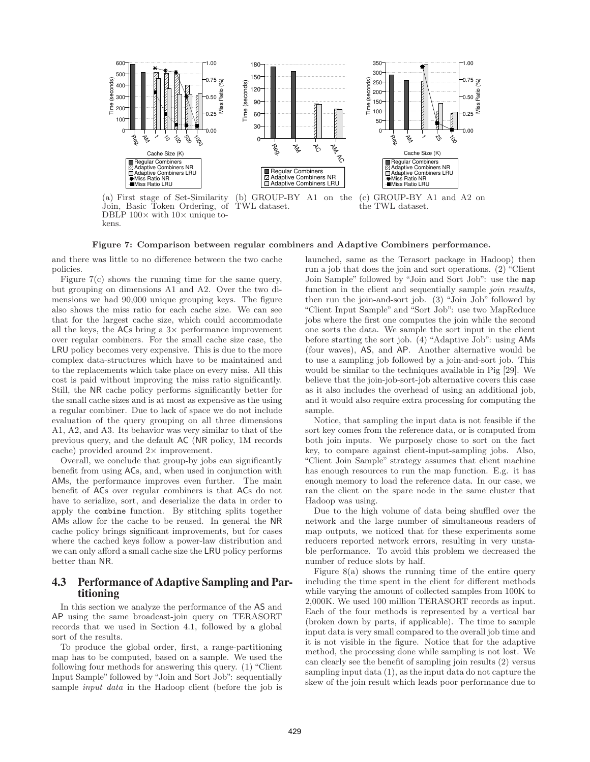

Join, Basic Token Ordering, of DBLP  $100 \times$  with  $10 \times$  unique tokens.

the TWL dataset.

Figure 7: Comparison between regular combiners and Adaptive Combiners performance.

and there was little to no difference between the two cache policies.

Figure 7(c) shows the running time for the same query, but grouping on dimensions A1 and A2. Over the two dimensions we had 90,000 unique grouping keys. The figure also shows the miss ratio for each cache size. We can see that for the largest cache size, which could accommodate all the keys, the ACs bring a  $3\times$  performance improvement over regular combiners. For the small cache size case, the LRU policy becomes very expensive. This is due to the more complex data-structures which have to be maintained and to the replacements which take place on every miss. All this cost is paid without improving the miss ratio significantly. Still, the NR cache policy performs significantly better for the small cache sizes and is at most as expensive as the using a regular combiner. Due to lack of space we do not include evaluation of the query grouping on all three dimensions A1, A2, and A3. Its behavior was very similar to that of the previous query, and the default AC (NR policy, 1M records cache) provided around  $2 \times$  improvement.

Overall, we conclude that group-by jobs can significantly benefit from using ACs, and, when used in conjunction with AMs, the performance improves even further. The main benefit of ACs over regular combiners is that ACs do not have to serialize, sort, and deserialize the data in order to apply the combine function. By stitching splits together AMs allow for the cache to be reused. In general the NR cache policy brings significant improvements, but for cases where the cached keys follow a power-law distribution and we can only afford a small cache size the LRU policy performs better than NR.

# **4.3 Performance of Adaptive Sampling and Partitioning**

In this section we analyze the performance of the AS and AP using the same broadcast-join query on TERASORT records that we used in Section 4.1, followed by a global sort of the results.

To produce the global order, first, a range-partitioning map has to be computed, based on a sample. We used the following four methods for answering this query. (1) "Client Input Sample" followed by "Join and Sort Job": sequentially sample *input data* in the Hadoop client (before the job is

launched, same as the Terasort package in Hadoop) then run a job that does the join and sort operations. (2) "Client Join Sample" followed by "Join and Sort Job": use the map function in the client and sequentially sample *join results*, then run the join-and-sort job. (3) "Join Job" followed by "Client Input Sample" and "Sort Job": use two MapReduce jobs where the first one computes the join while the second one sorts the data. We sample the sort input in the client before starting the sort job. (4) "Adaptive Job": using AMs (four waves), AS, and AP. Another alternative would be to use a sampling job followed by a join-and-sort job. This would be similar to the techniques available in Pig [29]. We believe that the join-job-sort-job alternative covers this case as it also includes the overhead of using an additional job, and it would also require extra processing for computing the sample.

Notice, that sampling the input data is not feasible if the sort key comes from the reference data, or is computed from both join inputs. We purposely chose to sort on the fact key, to compare against client-input-sampling jobs. Also, "Client Join Sample" strategy assumes that client machine has enough resources to run the map function. E.g. it has enough memory to load the reference data. In our case, we ran the client on the spare node in the same cluster that Hadoop was using.

Due to the high volume of data being shuffled over the network and the large number of simultaneous readers of map outputs, we noticed that for these experiments some reducers reported network errors, resulting in very unstable performance. To avoid this problem we decreased the number of reduce slots by half.

Figure  $8(a)$  shows the running time of the entire query including the time spent in the client for different methods while varying the amount of collected samples from 100K to 2,000K. We used 100 million TERASORT records as input. Each of the four methods is represented by a vertical bar (broken down by parts, if applicable). The time to sample input data is very small compared to the overall job time and it is not visible in the figure. Notice that for the adaptive method, the processing done while sampling is not lost. We can clearly see the benefit of sampling join results (2) versus sampling input data (1), as the input data do not capture the skew of the join result which leads poor performance due to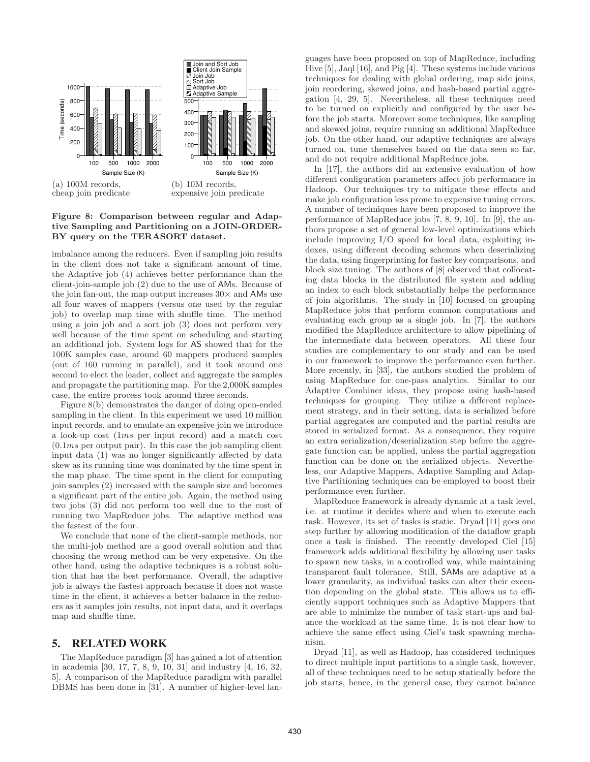

#### Figure 8: Comparison between regular and Adaptive Sampling and Partitioning on a JOIN-ORDER-BY query on the TERASORT dataset.

imbalance among the reducers. Even if sampling join results in the client does not take a significant amount of time, the Adaptive job (4) achieves better performance than the client-join-sample job (2) due to the use of AMs. Because of the join fan-out, the map output increases  $30\times$  and AMs use all four waves of mappers (versus one used by the regular job) to overlap map time with shuffle time. The method using a join job and a sort job (3) does not perform very well because of the time spent on scheduling and starting an additional job. System logs for AS showed that for the 100K samples case, around 60 mappers produced samples (out of 160 running in parallel), and it took around one second to elect the leader, collect and aggregate the samples and propagate the partitioning map. For the 2,000K samples case, the entire process took around three seconds.

Figure 8(b) demonstrates the danger of doing open-ended sampling in the client. In this experiment we used 10 million input records, and to emulate an expensive join we introduce a look-up cost (1ms per input record) and a match cost  $(0.1ms$  per output pair). In this case the job sampling client input data (1) was no longer significantly affected by data skew as its running time was dominated by the time spent in the map phase. The time spent in the client for computing join samples (2) increased with the sample size and becomes a significant part of the entire job. Again, the method using two jobs (3) did not perform too well due to the cost of running two MapReduce jobs. The adaptive method was the fastest of the four.

We conclude that none of the client-sample methods, nor the multi-job method are a good overall solution and that choosing the wrong method can be very expensive. On the other hand, using the adaptive techniques is a robust solution that has the best performance. Overall, the adaptive job is always the fastest approach because it does not waste time in the client, it achieves a better balance in the reducers as it samples join results, not input data, and it overlaps map and shuffle time.

#### **5. RELATED WORK**

The MapReduce paradigm [3] has gained a lot of attention in academia [30, 17, 7, 8, 9, 10, 31] and industry [4, 16, 32, 5]. A comparison of the MapReduce paradigm with parallel DBMS has been done in [31]. A number of higher-level languages have been proposed on top of MapReduce, including Hive [5], Jaql [16], and Pig [4]. These systems include various techniques for dealing with global ordering, map side joins, join reordering, skewed joins, and hash-based partial aggregation [4, 29, 5]. Nevertheless, all these techniques need to be turned on explicitly and configured by the user before the job starts. Moreover some techniques, like sampling and skewed joins, require running an additional MapReduce job. On the other hand, our adaptive techniques are always turned on, tune themselves based on the data seen so far, and do not require additional MapReduce jobs.

In [17], the authors did an extensive evaluation of how different configuration parameters affect job performance in Hadoop. Our techniques try to mitigate these effects and make job configuration less prone to expensive tuning errors. A number of techniques have been proposed to improve the performance of MapReduce jobs [7, 8, 9, 10]. In [9], the authors propose a set of general low-level optimizations which include improving I/O speed for local data, exploiting indexes, using different decoding schemes when deserializing the data, using fingerprinting for faster key comparisons, and block size tuning. The authors of [8] observed that collocating data blocks in the distributed file system and adding an index to each block substantially helps the performance of join algorithms. The study in [10] focused on grouping MapReduce jobs that perform common computations and evaluating each group as a single job. In [7], the authors modified the MapReduce architecture to allow pipelining of the intermediate data between operators. All these four studies are complementary to our study and can be used in our framework to improve the performance even further. More recently, in [33], the authors studied the problem of using MapReduce for one-pass analytics. Similar to our Adaptive Combiner ideas, they propose using hash-based techniques for grouping. They utilize a different replacement strategy, and in their setting, data is serialized before partial aggregates are computed and the partial results are stored in serialized format. As a consequence, they require an extra serialization/deserialization step before the aggregate function can be applied, unless the partial aggregation function can be done on the serialized objects. Nevertheless, our Adaptive Mappers, Adaptive Sampling and Adaptive Partitioning techniques can be employed to boost their performance even further.

MapReduce framework is already dynamic at a task level, i.e. at runtime it decides where and when to execute each task. However, its set of tasks is static. Dryad [11] goes one step further by allowing modification of the dataflow graph once a task is finished. The recently developed Ciel [15] framework adds additional flexibility by allowing user tasks to spawn new tasks, in a controlled way, while maintaining transparent fault tolerance. Still, SAMs are adaptive at a lower granularity, as individual tasks can alter their execution depending on the global state. This allows us to efficiently support techniques such as Adaptive Mappers that are able to minimize the number of task start-ups and balance the workload at the same time. It is not clear how to achieve the same effect using Ciel's task spawning mechanism.

Dryad [11], as well as Hadoop, has considered techniques to direct multiple input partitions to a single task, however, all of these techniques need to be setup statically before the job starts, hence, in the general case, they cannot balance